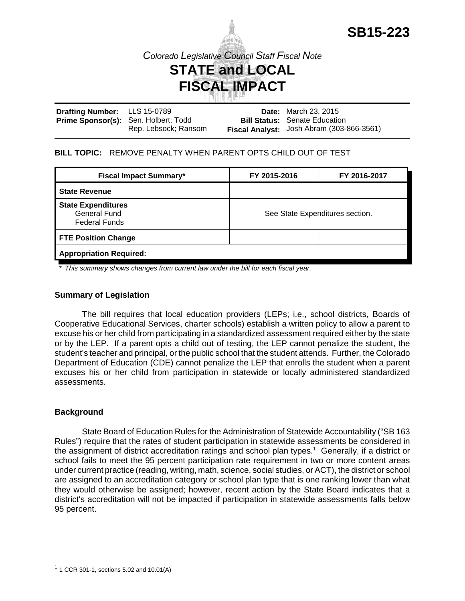

**Drafting Number:** Prime Sponsor(s): Sen. Holbert; Todd LLS 15-0789 Rep. Lebsock; Ransom **Date:** March 23, 2015 **Bill Status:** Senate Education **Fiscal Analyst:** Josh Abram (303-866-3561)

### **BILL TOPIC:** REMOVE PENALTY WHEN PARENT OPTS CHILD OUT OF TEST

| <b>Fiscal Impact Summary*</b>                                     | FY 2015-2016                    | FY 2016-2017 |
|-------------------------------------------------------------------|---------------------------------|--------------|
| <b>State Revenue</b>                                              |                                 |              |
| <b>State Expenditures</b><br>General Fund<br><b>Federal Funds</b> | See State Expenditures section. |              |
| <b>FTE Position Change</b>                                        |                                 |              |
| <b>Appropriation Required:</b>                                    |                                 |              |

*\* This summary shows changes from current law under the bill for each fiscal year.* 

#### **Summary of Legislation**

The bill requires that local education providers (LEPs; i.e., school districts, Boards of Cooperative Educational Services, charter schools) establish a written policy to allow a parent to excuse his or her child from participating in a standardized assessment required either by the state or by the LEP. If a parent opts a child out of testing, the LEP cannot penalize the student, the student's teacher and principal, or the public school that the student attends. Further, the Colorado Department of Education (CDE) cannot penalize the LEP that enrolls the student when a parent excuses his or her child from participation in statewide or locally administered standardized assessments.

### **Background**

State Board of Education Rules for the Administration of Statewide Accountability ("SB 163 Rules") require that the rates of student participation in statewide assessments be considered in the assignment of district accreditation ratings and school plan types.<sup>1</sup> Generally, if a district or school fails to meet the 95 percent participation rate requirement in two or more content areas under current practice (reading, writing, math, science, social studies, or ACT), the district or school are assigned to an accreditation category or school plan type that is one ranking lower than what they would otherwise be assigned; however, recent action by the State Board indicates that a district's accreditation will not be impacted if participation in statewide assessments falls below 95 percent.

 $1$  1 CCR 301-1, sections 5.02 and 10.01(A)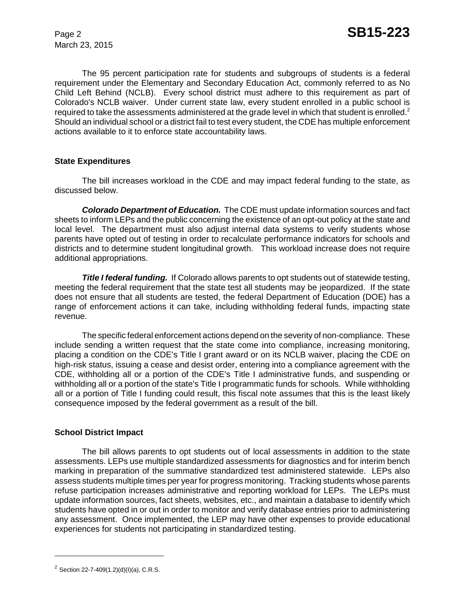March 23, 2015

The 95 percent participation rate for students and subgroups of students is a federal requirement under the Elementary and Secondary Education Act, commonly referred to as No Child Left Behind (NCLB). Every school district must adhere to this requirement as part of Colorado's NCLB waiver. Under current state law, every student enrolled in a public school is required to take the assessments administered at the grade level in which that student is enrolled.<sup>2</sup> Should an individual school or a district fail to test every student, the CDE has multiple enforcement actions available to it to enforce state accountability laws.

## **State Expenditures**

The bill increases workload in the CDE and may impact federal funding to the state, as discussed below.

*Colorado Department of Education.* The CDE must update information sources and fact sheets to inform LEPs and the public concerning the existence of an opt-out policy at the state and local level. The department must also adjust internal data systems to verify students whose parents have opted out of testing in order to recalculate performance indicators for schools and districts and to determine student longitudinal growth. This workload increase does not require additional appropriations.

**Title I federal funding.** If Colorado allows parents to opt students out of statewide testing, meeting the federal requirement that the state test all students may be jeopardized. If the state does not ensure that all students are tested, the federal Department of Education (DOE) has a range of enforcement actions it can take, including withholding federal funds, impacting state revenue.

The specific federal enforcement actions depend on the severity of non-compliance. These include sending a written request that the state come into compliance, increasing monitoring, placing a condition on the CDE's Title I grant award or on its NCLB waiver, placing the CDE on high-risk status, issuing a cease and desist order, entering into a compliance agreement with the CDE, withholding all or a portion of the CDE's Title I administrative funds, and suspending or withholding all or a portion of the state's Title I programmatic funds for schools. While withholding all or a portion of Title I funding could result, this fiscal note assumes that this is the least likely consequence imposed by the federal government as a result of the bill.

### **School District Impact**

The bill allows parents to opt students out of local assessments in addition to the state assessments. LEPs use multiple standardized assessments for diagnostics and for interim bench marking in preparation of the summative standardized test administered statewide. LEPs also assess students multiple times per year for progress monitoring. Tracking students whose parents refuse participation increases administrative and reporting workload for LEPs. The LEPs must update information sources, fact sheets, websites, etc., and maintain a database to identify which students have opted in or out in order to monitor and verify database entries prior to administering any assessment. Once implemented, the LEP may have other expenses to provide educational experiences for students not participating in standardized testing.

<sup>&</sup>lt;sup>2</sup> Section 22-7-409(1.2)(d)(l)(a), C.R.S.